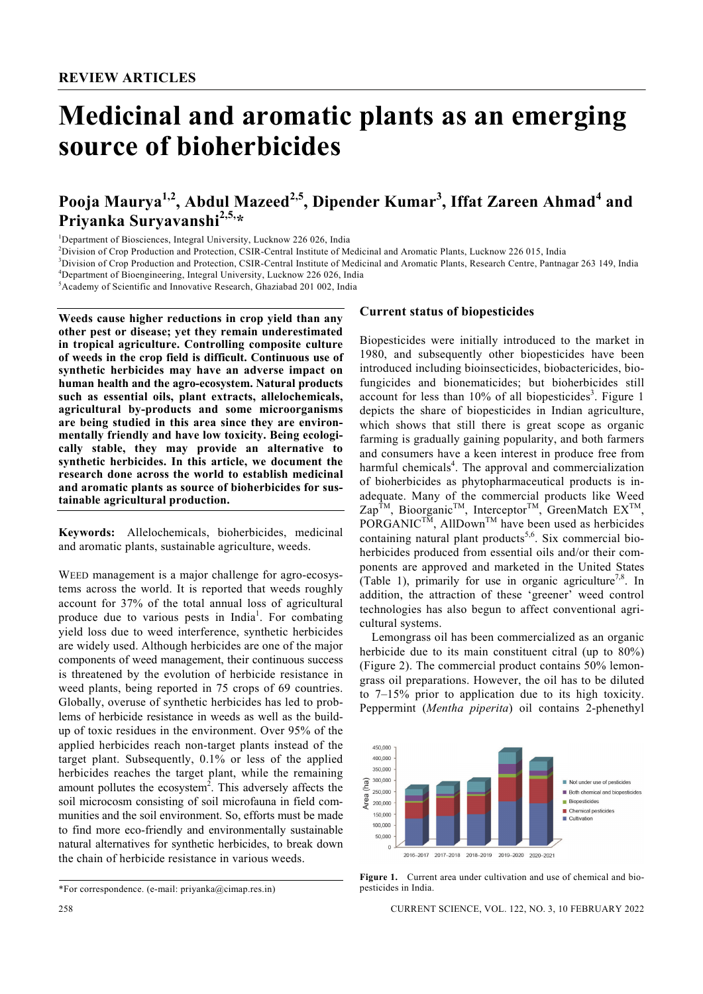# **Medicinal and aromatic plants as an emerging source of bioherbicides**

# Pooja Maurya<sup>1,2</sup>, Abdul Mazeed<sup>2,5</sup>, Dipender Kumar<sup>3</sup>, Iffat Zareen Ahmad<sup>4</sup> and **Priyanka Suryavanshi2,5,\***

<sup>1</sup>Department of Biosciences, Integral University, Lucknow 226 026, India<br><sup>2</sup>Division of Crop Production and Protection, CSIP, Control Institute of Me

<sup>2</sup>Division of Crop Production and Protection, CSIR-Central Institute of Medicinal and Aromatic Plants, Lucknow 226 015, India

<sup>3</sup>Division of Crop Production and Protection, CSIR-Central Institute of Medicinal and Aromatic Plants, Research Centre, Pantnagar 263 149, India <sup>4</sup>Department of Bioengineering, Integral University, Lucknow 226 026, India

<sup>5</sup> Academy of Scientific and Innovative Research, Ghaziabad 201 002, India

**Weeds cause higher reductions in crop yield than any other pest or disease; yet they remain underestimated in tropical agriculture. Controlling composite culture of weeds in the crop field is difficult. Continuous use of synthetic herbicides may have an adverse impact on human health and the agro-ecosystem. Natural products such as essential oils, plant extracts, allelochemicals, agricultural by-products and some microorganisms are being studied in this area since they are environmentally friendly and have low toxicity. Being ecologically stable, they may provide an alternative to synthetic herbicides. In this article, we document the research done across the world to establish medicinal and aromatic plants as source of bioherbicides for sustainable agricultural production.** 

**Keywords:** Allelochemicals, bioherbicides, medicinal and aromatic plants, sustainable agriculture, weeds.

WEED management is a major challenge for agro-ecosystems across the world. It is reported that weeds roughly account for 37% of the total annual loss of agricultural produce due to various pests in India<sup>1</sup>. For combating yield loss due to weed interference, synthetic herbicides are widely used. Although herbicides are one of the major components of weed management, their continuous success is threatened by the evolution of herbicide resistance in weed plants, being reported in 75 crops of 69 countries. Globally, overuse of synthetic herbicides has led to problems of herbicide resistance in weeds as well as the buildup of toxic residues in the environment. Over 95% of the applied herbicides reach non-target plants instead of the target plant. Subsequently, 0.1% or less of the applied herbicides reaches the target plant, while the remaining amount pollutes the ecosystem<sup>2</sup>. This adversely affects the soil microcosm consisting of soil microfauna in field communities and the soil environment. So, efforts must be made to find more eco-friendly and environmentally sustainable natural alternatives for synthetic herbicides, to break down the chain of herbicide resistance in various weeds.

## **Current status of biopesticides**

Biopesticides were initially introduced to the market in 1980, and subsequently other biopesticides have been introduced including bioinsecticides, biobactericides, biofungicides and bionematicides; but bioherbicides still account for less than  $10\%$  of all biopesticides<sup>3</sup>. Figure 1 depicts the share of biopesticides in Indian agriculture, which shows that still there is great scope as organic farming is gradually gaining popularity, and both farmers and consumers have a keen interest in produce free from harmful chemicals<sup>4</sup>. The approval and commercialization of bioherbicides as phytopharmaceutical products is inadequate. Many of the commercial products like Weed  $\text{Zap}^{\text{TM}}$ , Bioorganic<sup>TM</sup>, Interceptor<sup>TM</sup>, GreenMatch  $\text{EX}^{\text{TM}}$ , PORGANIC<sup>TM</sup>, AllDown<sup>TM</sup> have been used as herbicides containing natural plant products<sup>5,6</sup>. Six commercial bioherbicides produced from essential oils and/or their components are approved and marketed in the United States (Table 1), primarily for use in organic agriculture<sup>7,8</sup>. In addition, the attraction of these 'greener' weed control technologies has also begun to affect conventional agricultural systems.

 Lemongrass oil has been commercialized as an organic herbicide due to its main constituent citral (up to 80%) (Figure 2). The commercial product contains 50% lemongrass oil preparations. However, the oil has to be diluted to 7–15% prior to application due to its high toxicity. Peppermint (*Mentha piperita*) oil contains 2-phenethyl



**Figure 1.** Current area under cultivation and use of chemical and biopesticides in India.

<sup>\*</sup>For correspondence. (e-mail: priyanka@cimap.res.in)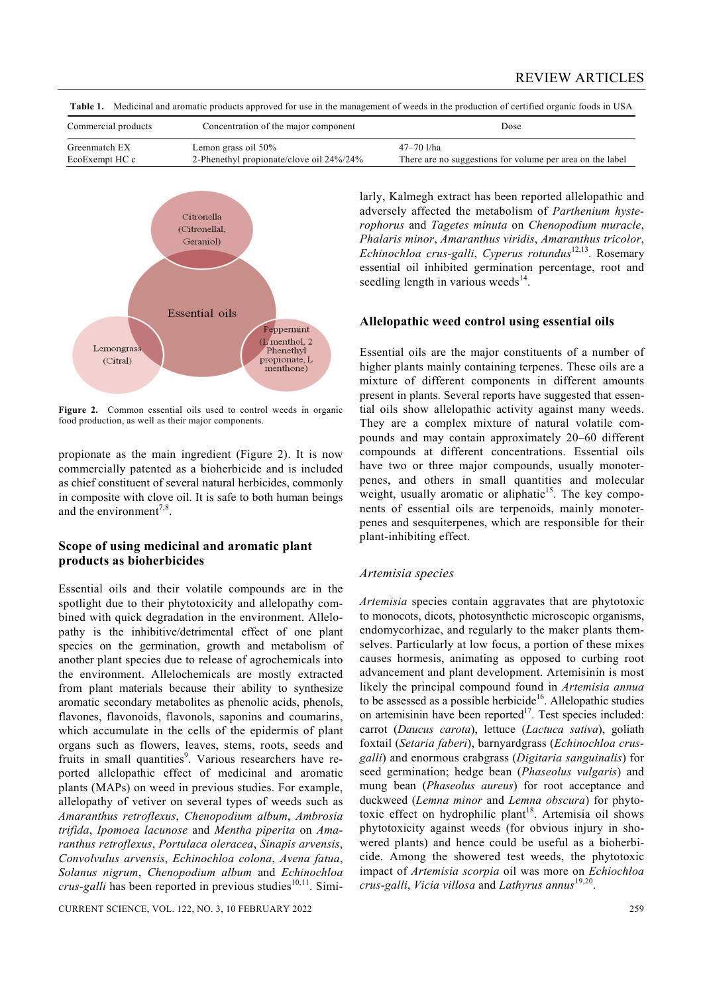Commercial products Concentration of the major component Dose Greenmatch EX Lemon grass oil 50% 47-70 l/ha EcoExempt HC c 2-Phenethyl propionate/clove oil 24%/24% There are no suggestions for volume per area on the label

**Table 1.** Medicinal and aromatic products approved for use in the management of weeds in the production of certified organic foods in USA



Figure 2. Common essential oils used to control weeds in organic food production, as well as their major components.

propionate as the main ingredient (Figure 2). It is now commercially patented as a bioherbicide and is included as chief constituent of several natural herbicides, commonly in composite with clove oil. It is safe to both human beings and the environment $^{7,8}$ .

# **Scope of using medicinal and aromatic plant products as bioherbicides**

Essential oils and their volatile compounds are in the spotlight due to their phytotoxicity and allelopathy combined with quick degradation in the environment. Allelopathy is the inhibitive/detrimental effect of one plant species on the germination, growth and metabolism of another plant species due to release of agrochemicals into the environment. Allelochemicals are mostly extracted from plant materials because their ability to synthesize aromatic secondary metabolites as phenolic acids, phenols, flavones, flavonoids, flavonols, saponins and coumarins, which accumulate in the cells of the epidermis of plant organs such as flowers, leaves, stems, roots, seeds and fruits in small quantities<sup>9</sup>. Various researchers have reported allelopathic effect of medicinal and aromatic plants (MAPs) on weed in previous studies. For example, allelopathy of vetiver on several types of weeds such as *Amaranthus retroflexus*, *Chenopodium album*, *Ambrosia trifida*, *Ipomoea lacunose* and *Mentha piperita* on *Amaranthus retroflexus*, *Portulaca oleracea*, *Sinapis arvensis*, *Convolvulus arvensis*, *Echinochloa colona*, *Avena fatua*, *Solanus nigrum*, *Chenopodium album* and *Echinochloa crus-galli* has been reported in previous studies<sup>10,11</sup>. Simi-

CURRENT SCIENCE, VOL. 122, NO. 3, 10 FEBRUARY 2022 259

larly, Kalmegh extract has been reported allelopathic and adversely affected the metabolism of *Parthenium hysterophorus* and *Tagetes minuta* on *Chenopodium muracle*, *Phalaris minor*, *Amaranthus viridis*, *Amaranthus tricolor*, *Echinochloa crus-galli*, *Cyperus rotundus*12,13. Rosemary essential oil inhibited germination percentage, root and seedling length in various weeds $^{14}$ .

# **Allelopathic weed control using essential oils**

Essential oils are the major constituents of a number of higher plants mainly containing terpenes. These oils are a mixture of different components in different amounts present in plants. Several reports have suggested that essential oils show allelopathic activity against many weeds. They are a complex mixture of natural volatile compounds and may contain approximately 20–60 different compounds at different concentrations. Essential oils have two or three major compounds, usually monoterpenes, and others in small quantities and molecular weight, usually aromatic or aliphatic<sup>15</sup>. The key components of essential oils are terpenoids, mainly monoterpenes and sesquiterpenes, which are responsible for their plant-inhibiting effect.

#### *Artemisia species*

*Artemisia* species contain aggravates that are phytotoxic to monocots, dicots, photosynthetic microscopic organisms, endomycorhizae, and regularly to the maker plants themselves. Particularly at low focus, a portion of these mixes causes hormesis, animating as opposed to curbing root advancement and plant development. Artemisinin is most likely the principal compound found in *Artemisia annua* to be assessed as a possible herbicide<sup>16</sup>. Allelopathic studies on artemisinin have been reported<sup>17</sup>. Test species included: carrot (*Daucus carota*), lettuce (*Lactuca sativa*), goliath foxtail (*Setaria faberi*), barnyardgrass (*Echinochloa crusgalli*) and enormous crabgrass (*Digitaria sanguinalis*) for seed germination; hedge bean (*Phaseolus vulgaris*) and mung bean (*Phaseolus aureus*) for root acceptance and duckweed (*Lemna minor* and *Lemna obscura*) for phytotoxic effect on hydrophilic plant<sup>18</sup>. Artemisia oil shows phytotoxicity against weeds (for obvious injury in showered plants) and hence could be useful as a bioherbicide. Among the showered test weeds, the phytotoxic impact of *Artemisia scorpia* oil was more on *Echiochloa crus-galli*, *Vicia villosa* and *Lathyrus annus*19,20.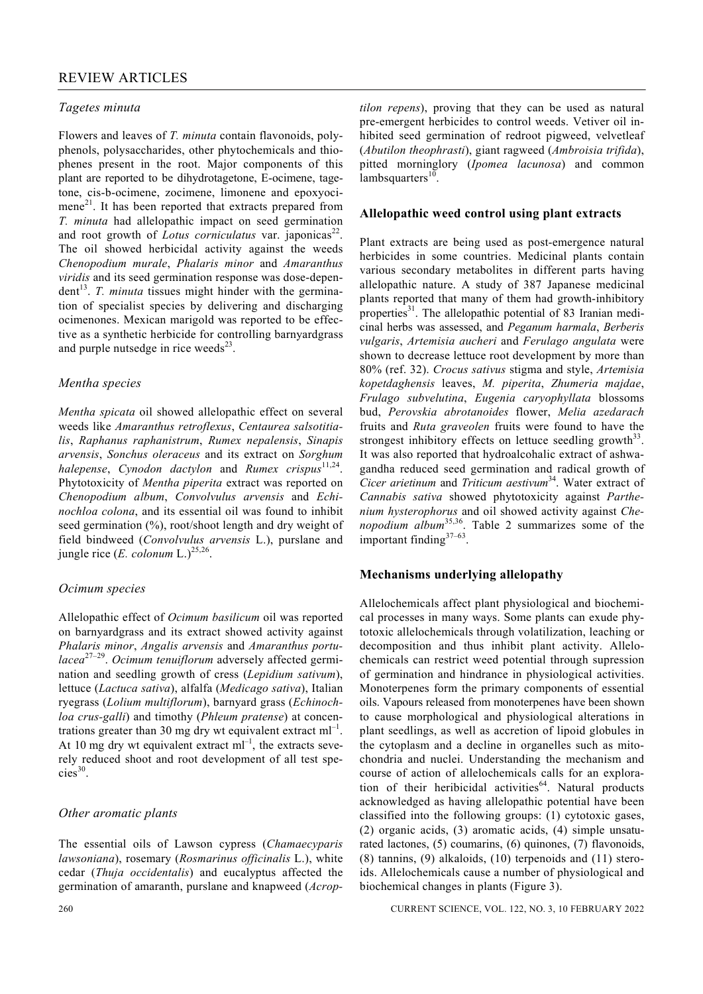#### *Tagetes minuta*

Flowers and leaves of *T. minuta* contain flavonoids, polyphenols, polysaccharides, other phytochemicals and thiophenes present in the root. Major components of this plant are reported to be dihydrotagetone, E-ocimene, tagetone, cis-b-ocimene, zocimene, limonene and epoxyocimene<sup>21</sup>. It has been reported that extracts prepared from *T. minuta* had allelopathic impact on seed germination and root growth of *Lotus corniculatus* var. japonicas<sup>22</sup>. The oil showed herbicidal activity against the weeds *Chenopodium murale*, *Phalaris minor* and *Amaranthus viridis* and its seed germination response was dose-depen $dent<sup>13</sup>$ . *T. minuta* tissues might hinder with the germination of specialist species by delivering and discharging ocimenones. Mexican marigold was reported to be effective as a synthetic herbicide for controlling barnyardgrass and purple nutsedge in rice weeds $^{23}$ .

#### *Mentha species*

*Mentha spicata* oil showed allelopathic effect on several weeds like *Amaranthus retroflexus*, *Centaurea salsotitialis*, *Raphanus raphanistrum*, *Rumex nepalensis*, *Sinapis arvensis*, *Sonchus oleraceus* and its extract on *Sorghum halepense*, *Cynodon dactylon* and *Rumex crispus*11,24. Phytotoxicity of *Mentha piperita* extract was reported on *Chenopodium album*, *Convolvulus arvensis* and *Echinochloa colona*, and its essential oil was found to inhibit seed germination (%), root/shoot length and dry weight of field bindweed (*Convolvulus arvensis* L.), purslane and jungle rice  $(E.$  *colonum* L.)<sup>25,26</sup>.

#### *Ocimum species*

Allelopathic effect of *Ocimum basilicum* oil was reported on barnyardgrass and its extract showed activity against *Phalaris minor*, *Angalis arvensis* and *Amaranthus portulacea*27–29. *Ocimum tenuiflorum* adversely affected germination and seedling growth of cress (*Lepidium sativum*), lettuce (*Lactuca sativa*), alfalfa (*Medicago sativa*), Italian ryegrass (*Lolium multiflorum*), barnyard grass (*Echinochloa crus-galli*) and timothy (*Phleum pratense*) at concentrations greater than 30 mg dry wt equivalent extract  $ml^{-1}$ . At 10 mg dry wt equivalent extract  $ml^{-1}$ , the extracts severely reduced shoot and root development of all test spe $cies<sup>30</sup>$ .

#### *Other aromatic plants*

The essential oils of Lawson cypress (*Chamaecyparis lawsoniana*), rosemary (*Rosmarinus officinalis* L.), white cedar (*Thuja occidentalis*) and eucalyptus affected the germination of amaranth, purslane and knapweed (*Acrop-* *tilon repens*), proving that they can be used as natural pre-emergent herbicides to control weeds. Vetiver oil inhibited seed germination of redroot pigweed, velvetleaf (*Abutilon theophrasti*), giant ragweed (*Ambroisia trifida*), pitted morninglory (*Ipomea lacunosa*) and common  $lambsquare<sup>10</sup>$ .

#### **Allelopathic weed control using plant extracts**

Plant extracts are being used as post-emergence natural herbicides in some countries. Medicinal plants contain various secondary metabolites in different parts having allelopathic nature. A study of 387 Japanese medicinal plants reported that many of them had growth-inhibitory properties $31$ . The allelopathic potential of 83 Iranian medicinal herbs was assessed, and *Peganum harmala*, *Berberis vulgaris*, *Artemisia aucheri* and *Ferulago angulata* were shown to decrease lettuce root development by more than 80% (ref. 32). *Crocus sativus* stigma and style, *Artemisia kopetdaghensis* leaves, *M. piperita*, *Zhumeria majdae*, *Frulago subvelutina*, *Eugenia caryophyllata* blossoms bud, *Perovskia abrotanoides* flower, *Melia azedarach* fruits and *Ruta graveolen* fruits were found to have the strongest inhibitory effects on lettuce seedling growth  $33$ . It was also reported that hydroalcohalic extract of ashwagandha reduced seed germination and radical growth of *Cicer arietinum* and *Triticum aestivum*34. Water extract of *Cannabis sativa* showed phytotoxicity against *Parthenium hysterophorus* and oil showed activity against *Chenopodium album*35,36. Table 2 summarizes some of the important finding37–63.

#### **Mechanisms underlying allelopathy**

Allelochemicals affect plant physiological and biochemical processes in many ways. Some plants can exude phytotoxic allelochemicals through volatilization, leaching or decomposition and thus inhibit plant activity. Allelochemicals can restrict weed potential through supression of germination and hindrance in physiological activities. Monoterpenes form the primary components of essential oils. Vapours released from monoterpenes have been shown to cause morphological and physiological alterations in plant seedlings, as well as accretion of lipoid globules in the cytoplasm and a decline in organelles such as mitochondria and nuclei. Understanding the mechanism and course of action of allelochemicals calls for an exploration of their heribicidal activities<sup>64</sup>. Natural products acknowledged as having allelopathic potential have been classified into the following groups: (1) cytotoxic gases, (2) organic acids, (3) aromatic acids, (4) simple unsaturated lactones, (5) coumarins, (6) quinones, (7) flavonoids, (8) tannins, (9) alkaloids, (10) terpenoids and (11) steroids. Allelochemicals cause a number of physiological and biochemical changes in plants (Figure 3).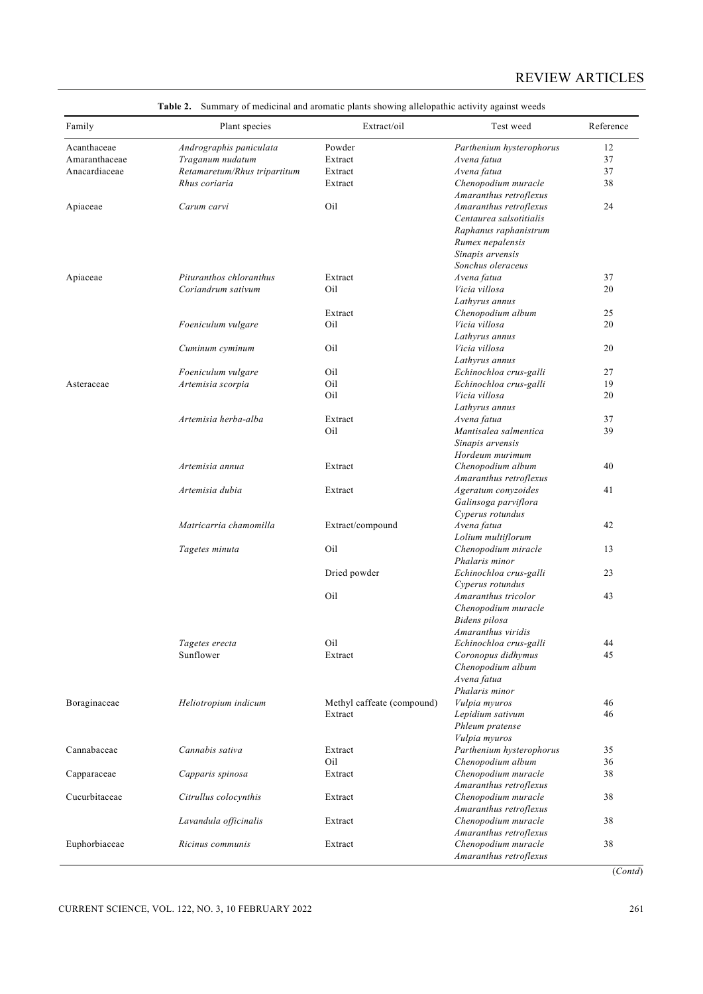| Family        | Plant species                | Extract/oil                | Test weed                                   | Reference |
|---------------|------------------------------|----------------------------|---------------------------------------------|-----------|
| Acanthaceae   | Andrographis paniculata      | Powder                     | Parthenium hysterophorus                    | 12        |
| Amaranthaceae | Traganum nudatum             | Extract                    | Avena fatua                                 | 37        |
| Anacardiaceae | Retamaretum/Rhus tripartitum | Extract                    | Avena fatua                                 | 37        |
|               | Rhus coriaria                | Extract                    | Chenopodium muracle                         | 38        |
|               |                              |                            | Amaranthus retroflexus                      |           |
| Apiaceae      | Carum carvi                  | Oil                        | Amaranthus retroflexus                      | 24        |
|               |                              |                            | Centaurea salsotitialis                     |           |
|               |                              |                            | Raphanus raphanistrum                       |           |
|               |                              |                            | Rumex nepalensis                            |           |
|               |                              |                            | Sinapis arvensis                            |           |
|               |                              |                            | Sonchus oleraceus                           |           |
| Apiaceae      | Pituranthos chloranthus      | Extract                    | Avena fatua                                 | 37        |
|               | Coriandrum sativum           | Oil                        | Vicia villosa                               | 20        |
|               |                              |                            | Lathyrus annus                              |           |
|               |                              | Extract                    | Chenopodium album                           | 25        |
|               | Foeniculum vulgare           | Oil                        | Vicia villosa                               | 20        |
|               |                              |                            | Lathyrus annus                              |           |
|               | Cuminum cyminum              | Oil                        | Vicia villosa                               | 20        |
|               |                              |                            | Lathyrus annus                              |           |
|               | Foeniculum vulgare           | Oil                        | Echinochloa crus-galli                      | 27        |
| Asteraceae    | Artemisia scorpia            | Oil                        | Echinochloa crus-galli                      | 19        |
|               |                              | Oil                        | Vicia villosa                               | 20        |
|               |                              |                            | Lathyrus annus                              |           |
|               | Artemisia herba-alba         | Extract                    | Avena fatua                                 | 37        |
|               |                              | Oil                        | Mantisalea salmentica                       | 39        |
|               |                              |                            | Sinapis arvensis                            |           |
|               |                              |                            | Hordeum murimum                             |           |
|               | Artemisia annua              | Extract                    | Chenopodium album                           | 40        |
|               |                              |                            | Amaranthus retroflexus                      |           |
|               | Artemisia dubia              | Extract                    |                                             | 41        |
|               |                              |                            | Ageratum conyzoides<br>Galinsoga parviflora |           |
|               |                              |                            |                                             |           |
|               |                              |                            | Cyperus rotundus                            |           |
|               | Matricarria chamomilla       | Extract/compound           | Avena fatua                                 | 42        |
|               |                              |                            | Lolium multiflorum                          |           |
|               | Tagetes minuta               | Oil                        | Chenopodium miracle                         | 13        |
|               |                              |                            | Phalaris minor                              |           |
|               |                              | Dried powder               | Echinochloa crus-galli                      | 23        |
|               |                              |                            | Cyperus rotundus                            |           |
|               |                              | Oil                        | Amaranthus tricolor                         | 43        |
|               |                              |                            | Chenopodium muracle                         |           |
|               |                              |                            | Bidens pilosa                               |           |
|               |                              |                            | Amaranthus viridis                          |           |
|               | Tagetes erecta               | Oil                        | Echinochloa crus-galli                      | 44        |
|               | Sunflower                    | Extract                    | Coronopus didhymus                          | 45        |
|               |                              |                            | Chenopodium album                           |           |
|               |                              |                            | Avena fatua                                 |           |
|               |                              |                            | Phalaris minor                              |           |
| Boraginaceae  | Heliotropium indicum         | Methyl caffeate (compound) | Vulpia myuros                               | 46        |
|               |                              | Extract                    | Lepidium sativum                            | 46        |
|               |                              |                            | Phleum pratense                             |           |
|               |                              |                            | Vulpia myuros                               |           |
| Cannabaceae   | Cannabis sativa              | Extract                    | Parthenium hysterophorus                    | 35        |
|               |                              | Oil                        | Chenopodium album                           | 36        |
| Capparaceae   | Capparis spinosa             | Extract                    | Chenopodium muracle                         | 38        |
|               |                              |                            | Amaranthus retroflexus                      |           |
| Cucurbitaceae | Citrullus colocynthis        | Extract                    | Chenopodium muracle                         | 38        |
|               |                              |                            | Amaranthus retroflexus                      |           |
|               | Lavandula officinalis        | Extract                    | Chenopodium muracle                         | 38        |
|               |                              |                            | Amaranthus retroflexus                      |           |
| Euphorbiaceae | Ricinus communis             | Extract                    | Chenopodium muracle                         | 38        |
|               |                              |                            |                                             |           |

**Table 2.** Summary of medicinal and aromatic plants showing allelopathic activity against weeds

(*Contd*)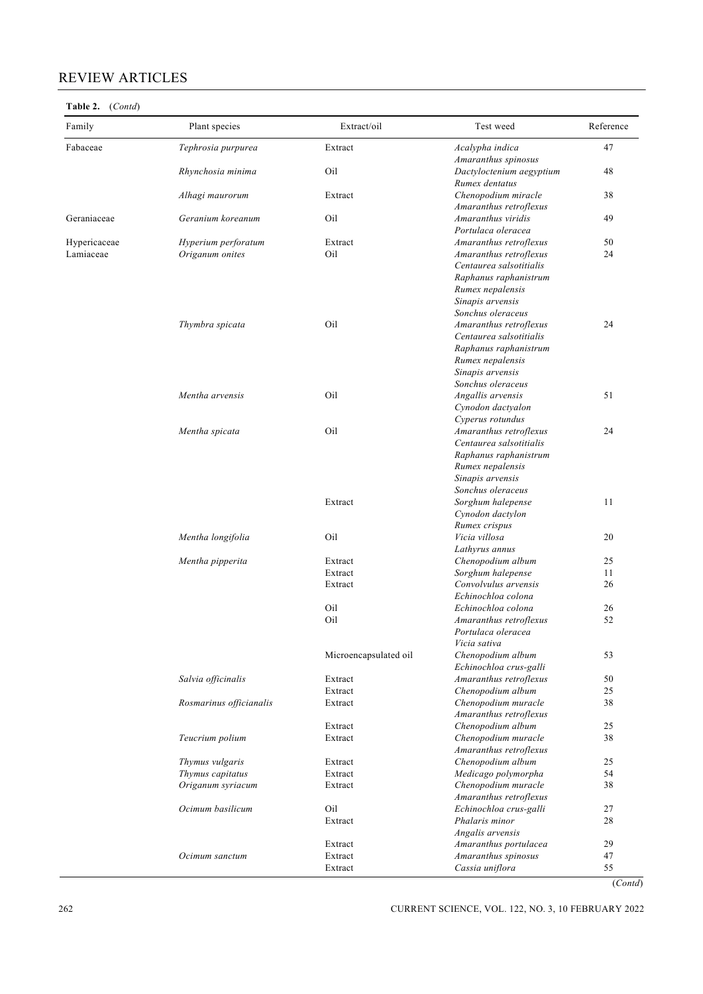# REVIEW ARTICLES

| Family       | Plant species           | Extract/oil           | Test weed                                    | Reference |
|--------------|-------------------------|-----------------------|----------------------------------------------|-----------|
| Fabaceae     | Tephrosia purpurea      | Extract               | Acalypha indica                              | 47        |
|              |                         |                       | Amaranthus spinosus                          |           |
|              | Rhynchosia minima       | Oil                   | Dactyloctenium aegyptium<br>Rumex dentatus   | 48        |
|              | Alhagi maurorum         | Extract               | Chenopodium miracle                          | 38        |
|              |                         |                       | Amaranthus retroflexus                       |           |
| Geraniaceae  | Geranium koreanum       | Oil                   | Amaranthus viridis                           | 49        |
|              |                         |                       | Portulaca oleracea                           |           |
| Hypericaceae | Hyperium perforatum     | Extract               | Amaranthus retroflexus                       | 50        |
| Lamiaceae    | Origanum onites         | Oil                   | Amaranthus retroflexus                       | 24        |
|              |                         |                       | Centaurea salsotitialis                      |           |
|              |                         |                       | Raphanus raphanistrum                        |           |
|              |                         |                       | Rumex nepalensis                             |           |
|              |                         |                       | Sinapis arvensis<br>Sonchus oleraceus        |           |
|              | Thymbra spicata         | Oil                   | Amaranthus retroflexus                       | 24        |
|              |                         |                       | Centaurea salsotitialis                      |           |
|              |                         |                       | Raphanus raphanistrum                        |           |
|              |                         |                       | Rumex nepalensis                             |           |
|              |                         |                       | Sinapis arvensis                             |           |
|              |                         |                       | Sonchus oleraceus                            |           |
|              | Mentha arvensis         | Oil                   | Angallis arvensis                            | 51        |
|              |                         |                       | Cynodon dactyalon                            |           |
|              |                         |                       | Cyperus rotundus                             |           |
|              | Mentha spicata          | Oil                   | Amaranthus retroflexus                       | 24        |
|              |                         |                       | Centaurea salsotitialis                      |           |
|              |                         |                       | Raphanus raphanistrum                        |           |
|              |                         |                       | Rumex nepalensis<br>Sinapis arvensis         |           |
|              |                         |                       | Sonchus oleraceus                            |           |
|              |                         | Extract               | Sorghum halepense                            | 11        |
|              |                         |                       | Cynodon dactylon                             |           |
|              |                         |                       | Rumex crispus                                |           |
|              | Mentha longifolia       | Oil                   | Vicia villosa                                | 20        |
|              |                         |                       | Lathyrus annus                               |           |
|              | Mentha pipperita        | Extract               | Chenopodium album                            | 25        |
|              |                         | Extract               | Sorghum halepense                            | 11        |
|              |                         | Extract               | Convolvulus arvensis                         | 26        |
|              |                         | Oil                   | Echinochloa colona                           |           |
|              |                         | Oil                   | Echinochloa colona<br>Amaranthus retroflexus | 26<br>52  |
|              |                         |                       | Portulaca oleracea                           |           |
|              |                         |                       | Vicia sativa                                 |           |
|              |                         | Microencapsulated oil | Chenopodium album                            | 53        |
|              |                         |                       | Echinochloa crus-galli                       |           |
|              | Salvia officinalis      | Extract               | Amaranthus retroflexus                       | 50        |
|              |                         | Extract               | Chenopodium album                            | 25        |
|              | Rosmarinus officianalis | Extract               | Chenopodium muracle                          | 38        |
|              |                         |                       | Amaranthus retroflexus                       |           |
|              |                         | Extract               | Chenopodium album                            | 25        |
|              | Teucrium polium         | Extract               | Chenopodium muracle                          | 38        |
|              | Thymus vulgaris         | Extract               | Amaranthus retroflexus<br>Chenopodium album  | 25        |
|              | Thymus capitatus        | Extract               | Medicago polymorpha                          | 54        |
|              | Origanum syriacum       | Extract               | Chenopodium muracle                          | 38        |
|              |                         |                       | Amaranthus retroflexus                       |           |
|              | Ocimum basilicum        | Oil                   | Echinochloa crus-galli                       | 27        |
|              |                         | Extract               | Phalaris minor                               | 28        |
|              |                         |                       | Angalis arvensis                             |           |
|              |                         | Extract               | Amaranthus portulacea                        | 29        |
|              | Ocimum sanctum          | Extract               | Amaranthus spinosus                          | 47        |
|              |                         | Extract               | Cassia uniflora                              | 55        |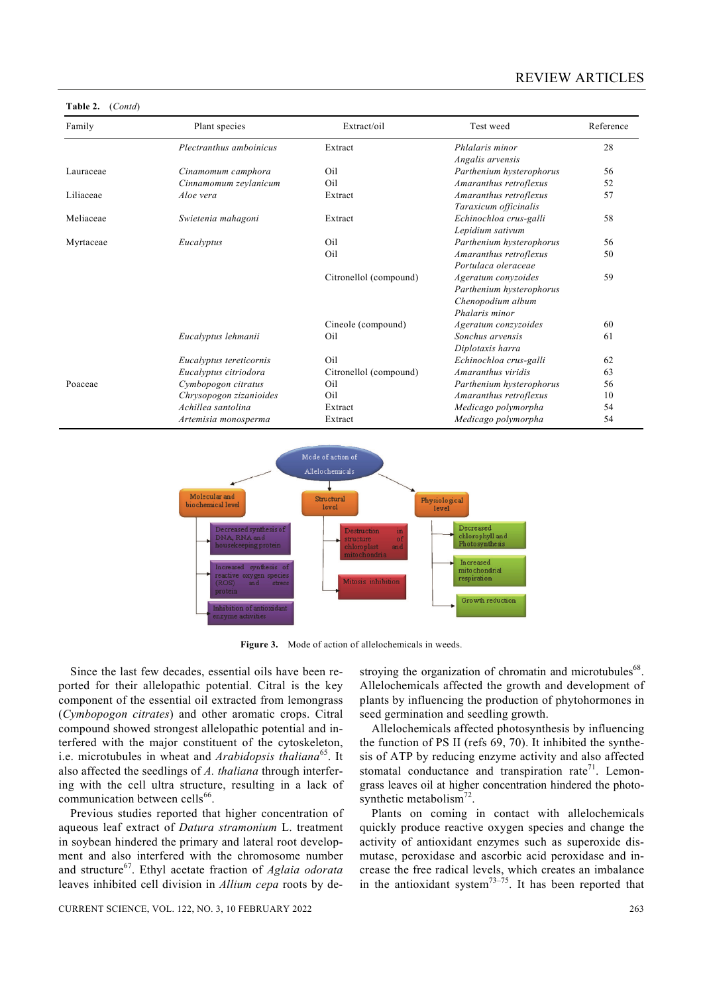# REVIEW ARTICLES

| Family    | Plant species           | Extract/oil            | Test weed                                                                              | Reference |
|-----------|-------------------------|------------------------|----------------------------------------------------------------------------------------|-----------|
|           | Plectranthus amboinicus | Extract                | Phlalaris minor<br>Angalis arvensis                                                    | 28        |
| Lauraceae | Cinamomum camphora      | Oil                    | Parthenium hysterophorus                                                               | 56        |
|           | Cinnamomum zeylanicum   | Oil                    | Amaranthus retroflexus                                                                 | 52        |
| Liliaceae | Aloe vera               | Extract                | Amaranthus retroflexus<br>Taraxicum officinalis                                        | 57        |
| Meliaceae | Swietenia mahagoni      | Extract                | Echinochloa crus-galli<br>Lepidium sativum                                             | 58        |
| Myrtaceae | Eucalyptus              | Oil                    | Parthenium hysterophorus                                                               | 56        |
|           |                         | Oil                    | Amaranthus retroflexus<br>Portulaca oleraceae                                          | 50        |
|           |                         | Citronellol (compound) | Ageratum conyzoides<br>Parthenium hysterophorus<br>Chenopodium album<br>Phalaris minor | 59        |
|           |                         | Cineole (compound)     | Ageratum conzyzoides                                                                   | 60        |
|           | Eucalyptus lehmanii     | Oil                    | Sonchus arvensis<br>Diplotaxis harra                                                   | 61        |
|           | Eucalyptus tereticornis | Oil                    | Echinochloa crus-galli                                                                 | 62        |
|           | Eucalyptus citriodora   | Citronellol (compound) | Amaranthus viridis                                                                     | 63        |
| Poaceae   | Cymbopogon citratus     | Oil                    | Parthenium hysterophorus                                                               | 56        |
|           | Chrysopogon zizanioides | Oil                    | Amaranthus retroflexus                                                                 | 10        |
|           | Achillea santolina      | Extract                | Medicago polymorpha                                                                    | 54        |
|           | Artemisia monosperma    | Extract                | Medicago polymorpha                                                                    | 54        |



**Figure 3.** Mode of action of allelochemicals in weeds.

 Since the last few decades, essential oils have been reported for their allelopathic potential. Citral is the key component of the essential oil extracted from lemongrass (*Cymbopogon citrates*) and other aromatic crops. Citral compound showed strongest allelopathic potential and interfered with the major constituent of the cytoskeleton, i.e. microtubules in wheat and *Arabidopsis thaliana*65. It also affected the seedlings of *A. thaliana* through interfering with the cell ultra structure, resulting in a lack of communication between cells<sup>66</sup>

**Table 2.** (*Contd*)

 Previous studies reported that higher concentration of aqueous leaf extract of *Datura stramonium* L. treatment in soybean hindered the primary and lateral root development and also interfered with the chromosome number and structure67. Ethyl acetate fraction of *Aglaia odorata*  leaves inhibited cell division in *Allium cepa* roots by destroying the organization of chromatin and microtubules<sup>68</sup>. Allelochemicals affected the growth and development of plants by influencing the production of phytohormones in seed germination and seedling growth.

 Allelochemicals affected photosynthesis by influencing the function of PS II (refs 69, 70). It inhibited the synthesis of ATP by reducing enzyme activity and also affected stomatal conductance and transpiration rate<sup>71</sup>. Lemongrass leaves oil at higher concentration hindered the photosynthetic metabolism $^{72}$ .

 Plants on coming in contact with allelochemicals quickly produce reactive oxygen species and change the activity of antioxidant enzymes such as superoxide dismutase, peroxidase and ascorbic acid peroxidase and increase the free radical levels, which creates an imbalance in the antioxidant system $^{73-75}$ . It has been reported that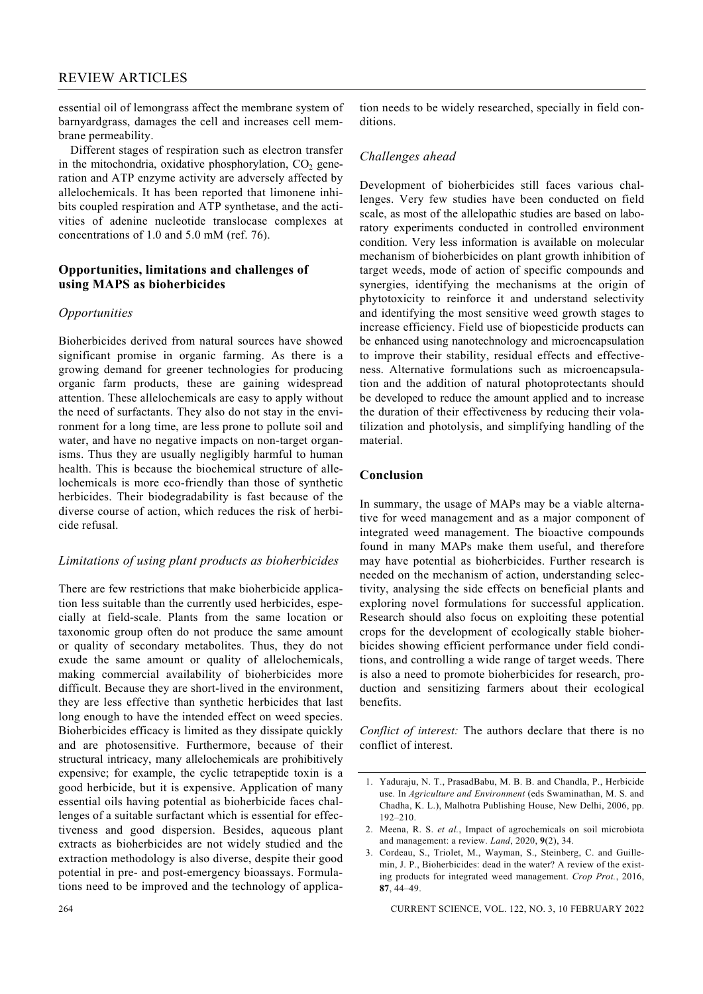essential oil of lemongrass affect the membrane system of barnyardgrass, damages the cell and increases cell membrane permeability.

 Different stages of respiration such as electron transfer in the mitochondria, oxidative phosphorylation,  $CO<sub>2</sub>$  generation and ATP enzyme activity are adversely affected by allelochemicals. It has been reported that limonene inhibits coupled respiration and ATP synthetase, and the activities of adenine nucleotide translocase complexes at concentrations of 1.0 and 5.0 mM (ref. 76).

## **Opportunities, limitations and challenges of using MAPS as bioherbicides**

# *Opportunities*

Bioherbicides derived from natural sources have showed significant promise in organic farming. As there is a growing demand for greener technologies for producing organic farm products, these are gaining widespread attention. These allelochemicals are easy to apply without the need of surfactants. They also do not stay in the environment for a long time, are less prone to pollute soil and water, and have no negative impacts on non-target organisms. Thus they are usually negligibly harmful to human health. This is because the biochemical structure of allelochemicals is more eco-friendly than those of synthetic herbicides. Their biodegradability is fast because of the diverse course of action, which reduces the risk of herbicide refusal.

# *Limitations of using plant products as bioherbicides*

There are few restrictions that make bioherbicide application less suitable than the currently used herbicides, especially at field-scale. Plants from the same location or taxonomic group often do not produce the same amount or quality of secondary metabolites. Thus, they do not exude the same amount or quality of allelochemicals, making commercial availability of bioherbicides more difficult. Because they are short-lived in the environment, they are less effective than synthetic herbicides that last long enough to have the intended effect on weed species. Bioherbicides efficacy is limited as they dissipate quickly and are photosensitive. Furthermore, because of their structural intricacy, many allelochemicals are prohibitively expensive; for example, the cyclic tetrapeptide toxin is a good herbicide, but it is expensive. Application of many essential oils having potential as bioherbicide faces challenges of a suitable surfactant which is essential for effectiveness and good dispersion. Besides, aqueous plant extracts as bioherbicides are not widely studied and the extraction methodology is also diverse, despite their good potential in pre- and post-emergency bioassays. Formulations need to be improved and the technology of application needs to be widely researched, specially in field conditions.

# *Challenges ahead*

Development of bioherbicides still faces various challenges. Very few studies have been conducted on field scale, as most of the allelopathic studies are based on laboratory experiments conducted in controlled environment condition. Very less information is available on molecular mechanism of bioherbicides on plant growth inhibition of target weeds, mode of action of specific compounds and synergies, identifying the mechanisms at the origin of phytotoxicity to reinforce it and understand selectivity and identifying the most sensitive weed growth stages to increase efficiency. Field use of biopesticide products can be enhanced using nanotechnology and microencapsulation to improve their stability, residual effects and effectiveness. Alternative formulations such as microencapsulation and the addition of natural photoprotectants should be developed to reduce the amount applied and to increase the duration of their effectiveness by reducing their volatilization and photolysis, and simplifying handling of the material.

# **Conclusion**

In summary, the usage of MAPs may be a viable alternative for weed management and as a major component of integrated weed management. The bioactive compounds found in many MAPs make them useful, and therefore may have potential as bioherbicides. Further research is needed on the mechanism of action, understanding selectivity, analysing the side effects on beneficial plants and exploring novel formulations for successful application. Research should also focus on exploiting these potential crops for the development of ecologically stable bioherbicides showing efficient performance under field conditions, and controlling a wide range of target weeds. There is also a need to promote bioherbicides for research, production and sensitizing farmers about their ecological benefits.

*Conflict of interest:* The authors declare that there is no conflict of interest.

<sup>1.</sup> Yaduraju, N. T., PrasadBabu, M. B. B. and Chandla, P., Herbicide use. In *Agriculture and Environment* (eds Swaminathan, M. S. and Chadha, K. L.), Malhotra Publishing House, New Delhi, 2006, pp. 192–210.

<sup>2.</sup> Meena, R. S. *et al.*, Impact of agrochemicals on soil microbiota and management: a review. *Land*, 2020, **9**(2), 34.

<sup>3.</sup> Cordeau, S., Triolet, M., Wayman, S., Steinberg, C. and Guillemin, J. P., Bioherbicides: dead in the water? A review of the existing products for integrated weed management. *Crop Prot.*, 2016, **87**, 44–49.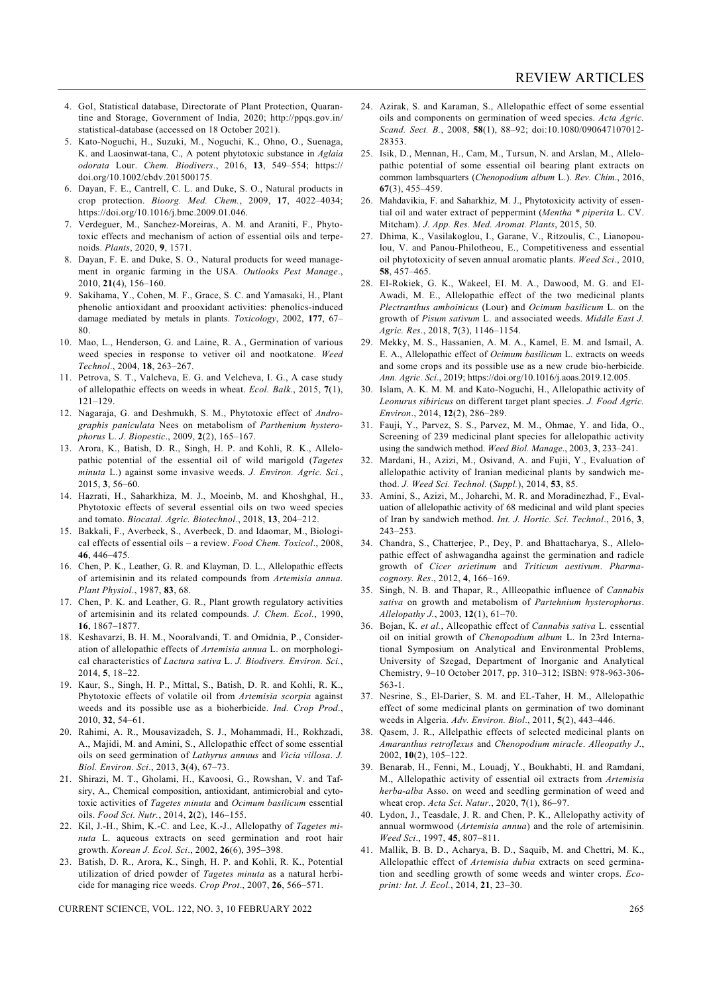- 4. GoI, Statistical database, Directorate of Plant Protection, Quarantine and Storage, Government of India, 2020; http://ppqs.gov.in/ statistical-database (accessed on 18 October 2021).
- 5. Kato-Noguchi, H., Suzuki, M., Noguchi, K., Ohno, O., Suenaga, K. and Laosinwat-tana, C., A potent phytotoxic substance in *Aglaia odorata* Lour. *Chem. Biodivers*., 2016, **13**, 549–554; https:// doi.org/10.1002/cbdv.201500175.
- 6. Dayan, F. E., Cantrell, C. L. and Duke, S. O., Natural products in crop protection. *Bioorg. Med. Chem.*, 2009, **17**, 4022–4034; https://doi.org/10.1016/j.bmc.2009.01.046.
- 7. Verdeguer, M., Sanchez-Moreiras, A. M. and Araniti, F., Phytotoxic effects and mechanism of action of essential oils and terpenoids. *Plants*, 2020, **9**, 1571.
- 8. Dayan, F. E. and Duke, S. O., Natural products for weed management in organic farming in the USA. *Outlooks Pest Manage*., 2010, **21**(4), 156–160.
- 9. Sakihama, Y., Cohen, M. F., Grace, S. C. and Yamasaki, H., Plant phenolic antioxidant and prooxidant activities: phenolics-induced damage mediated by metals in plants. *Toxicology*, 2002, **177**, 67– 80.
- 10. Mao, L., Henderson, G. and Laine, R. A., Germination of various weed species in response to vetiver oil and nootkatone. *Weed Technol*., 2004, **18**, 263–267.
- 11. Petrova, S. T., Valcheva, E. G. and Velcheva, I. G., A case study of allelopathic effects on weeds in wheat. *Ecol. Balk*., 2015, **7**(1), 121–129.
- 12. Nagaraja, G. and Deshmukh, S. M., Phytotoxic effect of *Andrographis paniculata* Nees on metabolism of *Parthenium hysterophorus* L. *J. Biopestic*., 2009, **2**(2), 165–167.
- 13. Arora, K., Batish, D. R., Singh, H. P. and Kohli, R. K., Allelopathic potential of the essential oil of wild marigold (*Tagetes minuta* L.) against some invasive weeds. *J. Environ. Agric. Sci.*, 2015, **3**, 56–60.
- 14. Hazrati, H., Saharkhiza, M. J., Moeinb, M. and Khoshghal, H., Phytotoxic effects of several essential oils on two weed species and tomato. *Biocatal. Agric. Biotechnol*., 2018, **13**, 204–212.
- 15. Bakkali, F., Averbeck, S., Averbeck, D. and Idaomar, M., Biological effects of essential oils – a review. *Food Chem. Toxicol*., 2008, **46**, 446–475.
- 16. Chen, P. K., Leather, G. R. and Klayman, D. L., Allelopathic effects of artemisinin and its related compounds from *Artemisia annua*. *Plant Physiol*., 1987, **83**, 68.
- 17. Chen, P. K. and Leather, G. R., Plant growth regulatory activities of artemisinin and its related compounds. *J. Chem. Ecol.*, 1990, **16**, 1867–1877.
- 18. Keshavarzi, B. H. M., Nooralvandi, T. and Omidnia, P., Consideration of allelopathic effects of *Artemisia annua* L. on morphological characteristics of *Lactura sativa* L. *J. Biodivers. Environ. Sci.*, 2014, **5**, 18–22.
- 19. Kaur, S., Singh, H. P., Mittal, S., Batish, D. R. and Kohli, R. K., Phytotoxic effects of volatile oil from *Artemisia scorpia* against weeds and its possible use as a bioherbicide. *Ind. Crop Prod*., 2010, **32**, 54–61.
- 20. Rahimi, A. R., Mousavizadeh, S. J., Mohammadi, H., Rokhzadi, A., Majidi, M. and Amini, S., Allelopathic effect of some essential oils on seed germination of *Lathyrus annuus* and *Vicia villosa*. *J. Biol. Environ. Sci*., 2013, **3**(4), 67–73.
- 21. Shirazi, M. T., Gholami, H., Kavoosi, G., Rowshan, V. and Tafsiry, A., Chemical composition, antioxidant, antimicrobial and cytotoxic activities of *Tagetes minuta* and *Ocimum basilicum* essential oils. *Food Sci. Nutr.*, 2014, **2**(2), 146–155.
- 22. Kil, J.-H., Shim, K.-C. and Lee, K.-J., Allelopathy of *Tagetes minuta* L. aqueous extracts on seed germination and root hair growth. *Korean J. Ecol. Sci*., 2002, **26**(6), 395–398.
- 23. Batish, D. R., Arora, K., Singh, H. P. and Kohli, R. K., Potential utilization of dried powder of *Tagetes minuta* as a natural herbicide for managing rice weeds. *Crop Prot*., 2007, **26**, 566–571.

CURRENT SCIENCE, VOL. 122, NO. 3, 10 FEBRUARY 2022 265

- 24. Azirak, S. and Karaman, S., Allelopathic effect of some essential oils and components on germination of weed species. *Acta Agric. Scand. Sect. B.*, 2008, **58**(1), 88–92; doi:10.1080/090647107012- 28353.
- 25. Isik, D., Mennan, H., Cam, M., Tursun, N. and Arslan, M., Allelopathic potential of some essential oil bearing plant extracts on common lambsquarters (*Chenopodium album* L.). *Rev. Chim*., 2016, **67**(3), 455–459.
- 26. Mahdavikia, F. and Saharkhiz, M. J., Phytotoxicity activity of essential oil and water extract of peppermint (*Mentha \* piperita* L. CV. Mitcham). *J. App. Res. Med. Aromat. Plants*, 2015, 50.
- 27. Dhima, K., Vasilakoglou, I., Garane, V., Ritzoulis, C., Lianopoulou, V. and Panou-Philotheou, E., Competitiveness and essential oil phytotoxicity of seven annual aromatic plants. *Weed Sci*., 2010, **58**, 457–465.
- 28. EI-Rokiek, G. K., Wakeel, EI. M. A., Dawood, M. G. and EI-Awadi, M. E., Allelopathic effect of the two medicinal plants *Plectranthus amboinicus* (Lour) and *Ocimum basilicum* L. on the growth of *Pisum sativum* L. and associated weeds. *Middle East J. Agric. Res*., 2018, **7**(3), 1146–1154.
- 29. Mekky, M. S., Hassanien, A. M. A., Kamel, E. M. and Ismail, A. E. A., Allelopathic effect of *Ocimum basilicum* L. extracts on weeds and some crops and its possible use as a new crude bio-herbicide. *Ann. Agric. Sci*., 2019; https://doi.org/10.1016/j.aoas.2019.12.005.
- 30. Islam, A. K. M. M. and Kato-Noguchi, H., Allelopathic activity of *Leonurus sibiricus* on different target plant species. *J. Food Agric. Environ*., 2014, **12**(2), 286–289.
- 31. Fauji, Y., Parvez, S. S., Parvez, M. M., Ohmae, Y. and Iida, O., Screening of 239 medicinal plant species for allelopathic activity using the sandwich method. *Weed Biol. Manage*., 2003, **3**, 233–241.
- 32. Mardani, H., Azizi, M., Osivand, A. and Fujii, Y., Evaluation of allelopathic activity of Iranian medicinal plants by sandwich method. *J. Weed Sci. Technol.* (*Suppl.*), 2014, **53**, 85.
- 33. Amini, S., Azizi, M., Joharchi, M. R. and Moradinezhad, F., Evaluation of allelopathic activity of 68 medicinal and wild plant species of Iran by sandwich method. *Int. J. Hortic. Sci. Technol*., 2016, **3**, 243–253.
- 34. Chandra, S., Chatterjee, P., Dey, P. and Bhattacharya, S., Allelopathic effect of ashwagandha against the germination and radicle growth of *Cicer arietinum* and *Triticum aestivum*. *Pharmacognosy. Res*., 2012, **4**, 166–169.
- 35. Singh, N. B. and Thapar, R., Allleopathic influence of *Cannabis sativa* on growth and metabolism of *Partehnium hysterophorus*. *Allelopathy J.*, 2003, **12**(1), 61–70.
- 36. Bojan, K. *et al.*, Alleopathic effect of *Cannabis sativa* L. essential oil on initial growth of *Chenopodium album* L. In 23rd International Symposium on Analytical and Environmental Problems, University of Szegad, Department of Inorganic and Analytical Chemistry, 9–10 October 2017, pp. 310–312; ISBN: 978-963-306- 563-1.
- 37. Nesrine, S., El-Darier, S. M. and EL-Taher, H. M., Allelopathic effect of some medicinal plants on germination of two dominant weeds in Algeria. *Adv. Environ. Biol*., 2011, **5**(2), 443–446.
- 38. Qasem, J. R., Allelpathic effects of selected medicinal plants on *Amaranthus retroflexus* and *Chenopodium miracle*. *Alleopathy J*., 2002, **10**(2), 105–122.
- 39. Benarab, H., Fenni, M., Louadj, Y., Boukhabti, H. and Ramdani, M., Allelopathic activity of essential oil extracts from *Artemisia herba-alba* Asso. on weed and seedling germination of weed and wheat crop. *Acta Sci. Natur.*, 2020, **7**(1), 86–97.
- 40. Lydon, J., Teasdale, J. R. and Chen, P. K., Allelopathy activity of annual wormwood (*Artemisia annua*) and the role of artemisinin. *Weed Sci*., 1997, **45**, 807–811.
- 41. Mallik, B. B. D., Acharya, B. D., Saquib, M. and Chettri, M. K., Allelopathic effect of *Artemisia dubia* extracts on seed germination and seedling growth of some weeds and winter crops. *Ecoprint: Int. J. Ecol.*, 2014, **21**, 23–30.